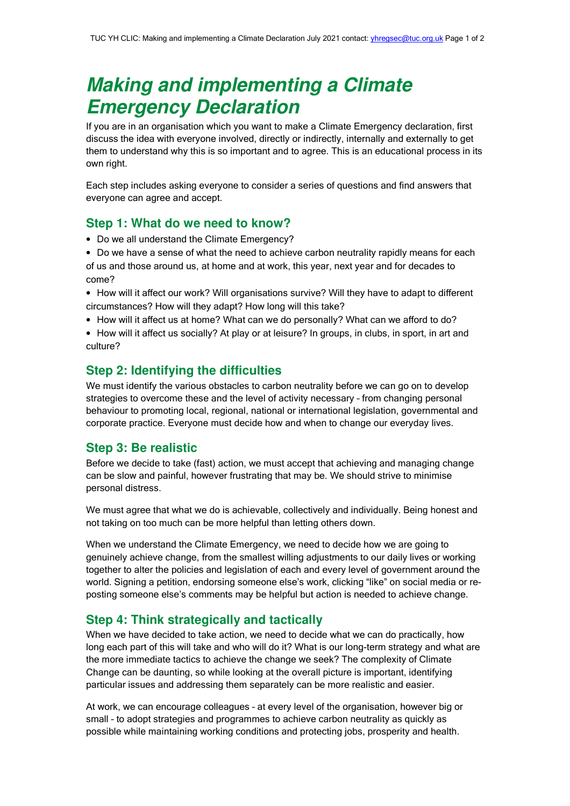# **Making and implementing a Climate Emergency Declaration**

If you are in an organisation which you want to make a Climate Emergency declaration, first discuss the idea with everyone involved, directly or indirectly, internally and externally to get them to understand why this is so important and to agree. This is an educational process in its own right.

Each step includes asking everyone to consider a series of questions and find answers that everyone can agree and accept.

### **Step 1: What do we need to know?**

- Do we all understand the Climate Emergency?
- Do we have a sense of what the need to achieve carbon neutrality rapidly means for each of us and those around us, at home and at work, this year, next year and for decades to come?
- How will it affect our work? Will organisations survive? Will they have to adapt to different circumstances? How will they adapt? How long will this take?
- How will it affect us at home? What can we do personally? What can we afford to do?
- How will it affect us socially? At play or at leisure? In groups, in clubs, in sport, in art and culture?

#### **Step 2: Identifying the difficulties**

We must identify the various obstacles to carbon neutrality before we can go on to develop strategies to overcome these and the level of activity necessary – from changing personal behaviour to promoting local, regional, national or international legislation, governmental and corporate practice. Everyone must decide how and when to change our everyday lives.

# **Step 3: Be realistic**

Before we decide to take (fast) action, we must accept that achieving and managing change can be slow and painful, however frustrating that may be. We should strive to minimise personal distress.

We must agree that what we do is achievable, collectively and individually. Being honest and not taking on too much can be more helpful than letting others down.

When we understand the Climate Emergency, we need to decide how we are going to genuinely achieve change, from the smallest willing adjustments to our daily lives or working together to alter the policies and legislation of each and every level of government around the world. Signing a petition, endorsing someone else's work, clicking "like" on social media or reposting someone else's comments may be helpful but action is needed to achieve change.

## **Step 4: Think strategically and tactically**

When we have decided to take action, we need to decide what we can do practically, how long each part of this will take and who will do it? What is our long-term strategy and what are the more immediate tactics to achieve the change we seek? The complexity of Climate Change can be daunting, so while looking at the overall picture is important, identifying particular issues and addressing them separately can be more realistic and easier.

At work, we can encourage colleagues – at every level of the organisation, however big or small – to adopt strategies and programmes to achieve carbon neutrality as quickly as possible while maintaining working conditions and protecting jobs, prosperity and health.